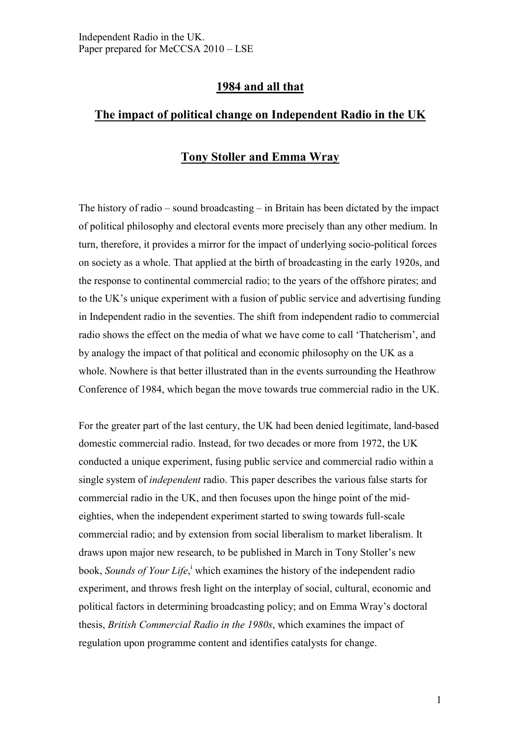## **1984 and all that**

# **The impact of political change on Independent Radio in the UK**

## **Tony Stoller and Emma Wray**

The history of radio – sound broadcasting – in Britain has been dictated by the impact of political philosophy and electoral events more precisely than any other medium. In turn, therefore, it provides a mirror for the impact of underlying socio-political forces on society as a whole. That applied at the birth of broadcasting in the early 1920s, and the response to continental commercial radio; to the years of the offshore pirates; and to the UK's unique experiment with a fusion of public service and advertising funding in Independent radio in the seventies. The shift from independent radio to commercial radio shows the effect on the media of what we have come to call 'Thatcherism', and by analogy the impact of that political and economic philosophy on the UK as a whole. Nowhere is that better illustrated than in the events surrounding the Heathrow Conference of 1984, which began the move towards true commercial radio in the UK.

For the greater part of the last century, the UK had been denied legitimate, land-based domestic commercial radio. Instead, for two decades or more from 1972, the UK conducted a unique experiment, fusing public service and commercial radio within a single system of *independent* radio. This paper describes the various false starts for commercial radio in the UK, and then focuses upon the hinge point of the mideighties, when the independent experiment started to swing towards full-scale commercial radio; and by extension from social liberalism to market liberalism. It draws upon major new research, to be published in March in Tony Stoller's new book, *Sounds of Your L[i](#page-18-0)fe*,<sup>i</sup> which examines the history of the independent radio experiment, and throws fresh light on the interplay of social, cultural, economic and political factors in determining broadcasting policy; and on Emma Wray's doctoral thesis, *British Commercial Radio in the 1980s*, which examines the impact of regulation upon programme content and identifies catalysts for change.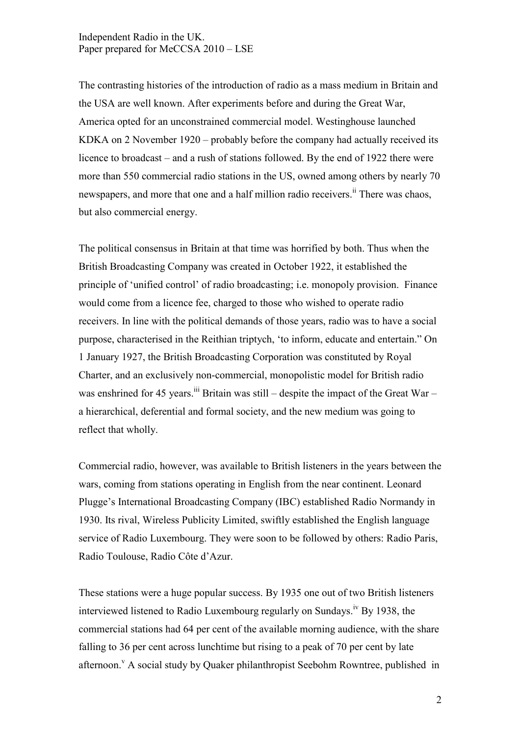The contrasting histories of the introduction of radio as a mass medium in Britain and the USA are well known. After experiments before and during the Great War, America opted for an unconstrained commercial model. Westinghouse launched KDKA on 2 November 1920 – probably before the company had actually received its licence to broadcast – and a rush of stations followed. By the end of 1922 there were more than 550 commercial radio stations in the US, owned among others by nearly 70 newspapers, and more that one and a half million radio receiver[s.](#page-18-0)<sup>ii</sup> There was chaos, but also commercial energy.

The political consensus in Britain at that time was horrified by both. Thus when the British Broadcasting Company was created in October 1922, it established the principle of 'unified control' of radio broadcasting; i.e. monopoly provision. Finance would come from a licence fee, charged to those who wished to operate radio receivers. In line with the political demands of those years, radio was to have a social purpose, characterised in the Reithian triptych, 'to inform, educate and entertain." On 1 January 1927, the British Broadcasting Corporation was constituted by Royal Charter, and an exclusively non-commercial, monopolistic model for British radio was enshrined for 45 years.<sup>[iii](#page-18-0)</sup> Britain was still – despite the impact of the Great War – a hierarchical, deferential and formal society, and the new medium was going to reflect that wholly.

Commercial radio, however, was available to British listeners in the years between the wars, coming from stations operating in English from the near continent. Leonard Plugge's International Broadcasting Company (IBC) established Radio Normandy in 1930. Its rival, Wireless Publicity Limited, swiftly established the English language service of Radio Luxembourg. They were soon to be followed by others: Radio Paris, Radio Toulouse, Radio Côte d'Azur.

These stations were a huge popular success. By 1935 one out of two British listeners interviewed listened to Radio Luxembourg regularly on Sundays[.](#page-18-0)<sup>iv</sup> By 1938, the commercial stations had 64 per cent of the available morning audience, with the share falling to 36 per cent across lunchtime but rising to a peak of 70 per cent by late afternoon[.](#page-18-0)<sup>v</sup> A social study by Quaker philanthropist Seebohm Rowntree, published in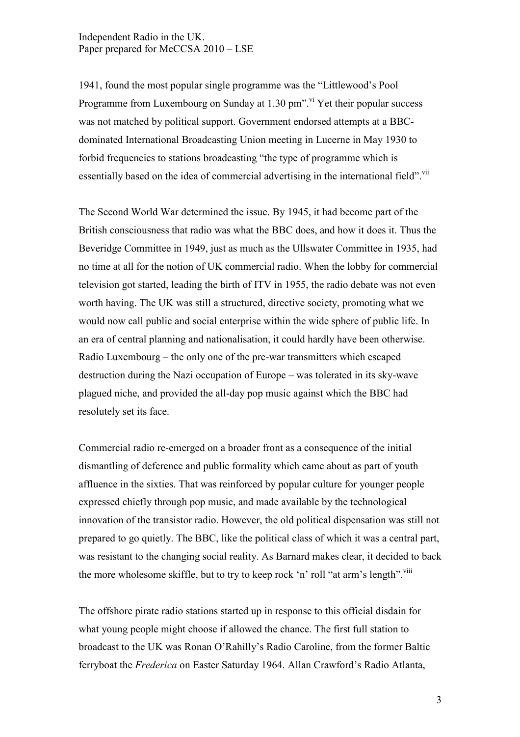1941, found the most popular single programme was the "Littlewood's Pool Programme from Luxembourg on Sunday at  $1.30$  pm". <sup>[vi](#page-18-0)</sup> Yet their popular success was not matched by political support. Government endorsed attempts at a BBCdominated International Broadcasting Union meeting in Lucerne in May 1930 to forbid frequencies to stations broadcasting "the type of programme which is essentially based on the idea of commercial advertising in the international field". Vii

The Second World War determined the issue. By 1945, it had become part of the British consciousness that radio was what the BBC does, and how it does it. Thus the Beveridge Committee in 1949, just as much as the Ullswater Committee in 1935, had no time at all for the notion of UK commercial radio. When the lobby for commercial television got started, leading the birth of ITV in 1955, the radio debate was not even worth having. The UK was still a structured, directive society, promoting what we would now call public and social enterprise within the wide sphere of public life. In an era of central planning and nationalisation, it could hardly have been otherwise. Radio Luxembourg – the only one of the pre-war transmitters which escaped destruction during the Nazi occupation of Europe – was tolerated in its sky-wave plagued niche, and provided the all-day pop music against which the BBC had resolutely set its face.

Commercial radio re-emerged on a broader front as a consequence of the initial dismantling of deference and public formality which came about as part of youth affluence in the sixties. That was reinforced by popular culture for younger people expressed chiefly through pop music, and made available by the technological innovation of the transistor radio. However, the old political dispensation was still not prepared to go quietly. The BBC, like the political class of which it was a central part, was resistant to the changing social reality. As Barnard makes clear, it decided to back the more wholesome skiffle, but to try to keep rock 'n' roll "at arm's length".<sup>[vii](#page-18-0)i</sup>

The offshore pirate radio stations started up in response to this official disdain for what young people might choose if allowed the chance. The first full station to broadcast to the UK was Ronan O'Rahilly's Radio Caroline, from the former Baltic ferryboat the *Frederica* on Easter Saturday 1964. Allan Crawford's Radio Atlanta,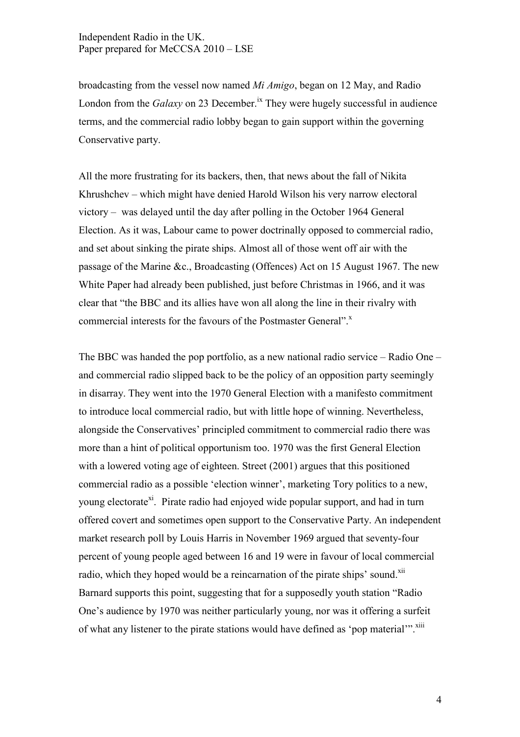broadcasting from the vessel now named *Mi Amigo*, began on 12 May, and Radio London from the *Galaxy* on 23 December.<sup>[ix](#page-18-0)</sup> They were hugely successful in audience terms, and the commercial radio lobby began to gain support within the governing Conservative party.

All the more frustrating for its backers, then, that news about the fall of Nikita Khrushchev – which might have denied Harold Wilson his very narrow electoral victory – was delayed until the day after polling in the October 1964 General Election. As it was, Labour came to power doctrinally opposed to commercial radio, and set about sinking the pirate ships. Almost all of those went off air with the passage of the Marine &c., Broadcasting (Offences) Act on 15 August 1967. The new White Paper had already been published, just before Christmas in 1966, and it was clear that "the BBC and its allies have won all along the line in their rivalry with commercial interests for the favours of the Postmaster General[".](#page-18-0)<sup>x</sup>

The BBC was handed the pop portfolio, as a new national radio service – Radio One – and commercial radio slipped back to be the policy of an opposition party seemingly in disarray. They went into the 1970 General Election with a manifesto commitment to introduce local commercial radio, but with little hope of winning. Nevertheless, alongside the Conservatives' principled commitment to commercial radio there was more than a hint of political opportunism too. 1970 was the first General Election with a lowered voting age of eighteen. Street (2001) argues that this positioned commercial radio as a possible 'election winner', marketing Tory politics to a new, young [e](#page-18-0)lectorate<sup>xi</sup>. Pirate radio had enjoyed wide popular support, and had in turn offered covert and sometimes open support to the Conservative Party. An independent market research poll by Louis Harris in November 1969 argued that seventy-four percent of young people aged between 16 and 19 were in favour of local commercial radio, which they hoped would be a reincarnation of the pirate ships' sound.<sup>[xii](#page-18-0)</sup> Barnard supports this point, suggesting that for a supposedly youth station "Radio One's audience by 1970 was neither particularly young, nor was it offering a surfeit of what any listener to the pirate stations would have defined as 'pop material'".<sup>[xiii](#page-18-0)</sup>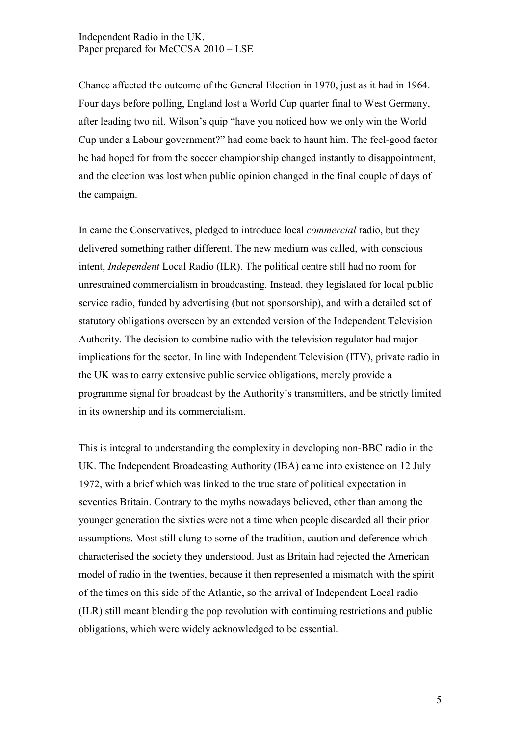Chance affected the outcome of the General Election in 1970, just as it had in 1964. Four days before polling, England lost a World Cup quarter final to West Germany, after leading two nil. Wilson's quip "have you noticed how we only win the World Cup under a Labour government?" had come back to haunt him. The feel-good factor he had hoped for from the soccer championship changed instantly to disappointment, and the election was lost when public opinion changed in the final couple of days of the campaign.

In came the Conservatives, pledged to introduce local *commercial* radio, but they delivered something rather different. The new medium was called, with conscious intent, *Independent* Local Radio (ILR). The political centre still had no room for unrestrained commercialism in broadcasting. Instead, they legislated for local public service radio, funded by advertising (but not sponsorship), and with a detailed set of statutory obligations overseen by an extended version of the Independent Television Authority. The decision to combine radio with the television regulator had major implications for the sector. In line with Independent Television (ITV), private radio in the UK was to carry extensive public service obligations, merely provide a programme signal for broadcast by the Authority's transmitters, and be strictly limited in its ownership and its commercialism.

This is integral to understanding the complexity in developing non-BBC radio in the UK. The Independent Broadcasting Authority (IBA) came into existence on 12 July 1972, with a brief which was linked to the true state of political expectation in seventies Britain. Contrary to the myths nowadays believed, other than among the younger generation the sixties were not a time when people discarded all their prior assumptions. Most still clung to some of the tradition, caution and deference which characterised the society they understood. Just as Britain had rejected the American model of radio in the twenties, because it then represented a mismatch with the spirit of the times on this side of the Atlantic, so the arrival of Independent Local radio (ILR) still meant blending the pop revolution with continuing restrictions and public obligations, which were widely acknowledged to be essential.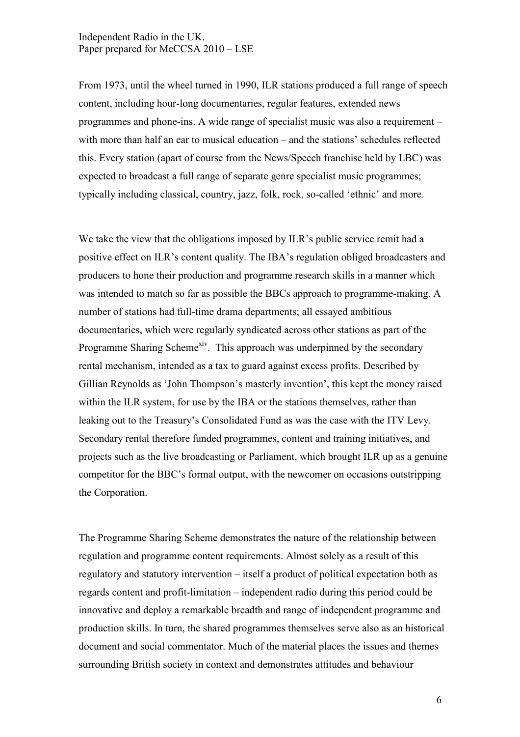From 1973, until the wheel turned in 1990, ILR stations produced a full range of speech content, including hour-long documentaries, regular features, extended news programmes and phone-ins. A wide range of specialist music was also a requirement – with more than half an ear to musical education – and the stations' schedules reflected this. Every station (apart of course from the News/Speech franchise held by LBC) was expected to broadcast a full range of separate genre specialist music programmes; typically including classical, country, jazz, folk, rock, so-called 'ethnic' and more.

We take the view that the obligations imposed by ILR's public service remit had a positive effect on ILR's content quality. The IBA's regulation obliged broadcasters and producers to hone their production and programme research skills in a manner which was intended to match so far as possible the BBCs approach to programme-making. A number of stations had full-time drama departments; all essayed ambitious documentaries, which were regularly syndicated across other stations as part of the Programme Sharing Scheme<sup>[xiv](#page-18-0)</sup>. This approach was underpinned by the secondary rental mechanism, intended as a tax to guard against excess profits. Described by Gillian Reynolds as 'John Thompson's masterly invention', this kept the money raised within the ILR system, for use by the IBA or the stations themselves, rather than leaking out to the Treasury's Consolidated Fund as was the case with the ITV Levy. Secondary rental therefore funded programmes, content and training initiatives, and projects such as the live broadcasting or Parliament, which brought ILR up as a genuine competitor for the BBC's formal output, with the newcomer on occasions outstripping the Corporation.

The Programme Sharing Scheme demonstrates the nature of the relationship between regulation and programme content requirements. Almost solely as a result of this regulatory and statutory intervention – itself a product of political expectation both as regards content and profit-limitation – independent radio during this period could be innovative and deploy a remarkable breadth and range of independent programme and production skills. In turn, the shared programmes themselves serve also as an historical document and social commentator. Much of the material places the issues and themes surrounding British society in context and demonstrates attitudes and behaviour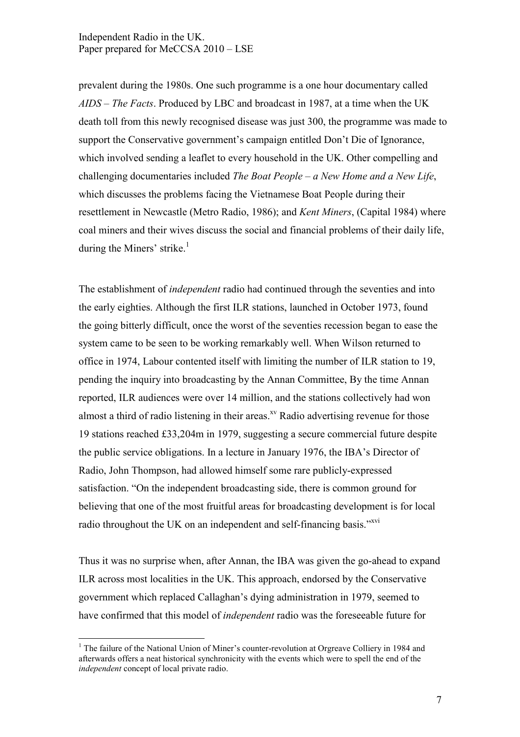prevalent during the 1980s. One such programme is a one hour documentary called *AIDS – The Facts*. Produced by LBC and broadcast in 1987, at a time when the UK death toll from this newly recognised disease was just 300, the programme was made to support the Conservative government's campaign entitled Don't Die of Ignorance, which involved sending a leaflet to every household in the UK. Other compelling and challenging documentaries included *The Boat People – a New Home and a New Life*, which discusses the problems facing the Vietnamese Boat People during their resettlement in Newcastle (Metro Radio, 1986); and *Kent Miners*, (Capital 1984) where coal miners and their wives discuss the social and financial problems of their daily life, during the Miners' strike. $<sup>1</sup>$ </sup>

The establishment of *independent* radio had continued through the seventies and into the early eighties. Although the first ILR stations, launched in October 1973, found the going bitterly difficult, once the worst of the seventies recession began to ease the system came to be seen to be working remarkably well. When Wilson returned to office in 1974, Labour contented itself with limiting the number of ILR station to 19, pending the inquiry into broadcasting by the Annan Committee, By the time Annan reported, ILR audiences were over 14 million, and the stations collectively had won almost a third of radio listening in their areas.<sup>[xv](#page-18-0)</sup> Radio advertising revenue for those 19 stations reached £33,204m in 1979, suggesting a secure commercial future despite the public service obligations. In a lecture in January 1976, the IBA's Director of Radio, John Thompson, had allowed himself some rare publicly-expressed satisfaction. "On the independent broadcasting side, there is common ground for believing that one of the most fruitful areas for broadcasting development is for local radio throughout the UK on an independent and self-financing basis."<sup>[xvi](#page-18-0)</sup>

Thus it was no surprise when, after Annan, the IBA was given the go-ahead to expand ILR across most localities in the UK. This approach, endorsed by the Conservative government which replaced Callaghan's dying administration in 1979, seemed to have confirmed that this model of *independent* radio was the foreseeable future for

 $\overline{a}$ 

<sup>&</sup>lt;sup>1</sup> The failure of the National Union of Miner's counter-revolution at Orgreave Colliery in 1984 and afterwards offers a neat historical synchronicity with the events which were to spell the end of the *independent* concept of local private radio.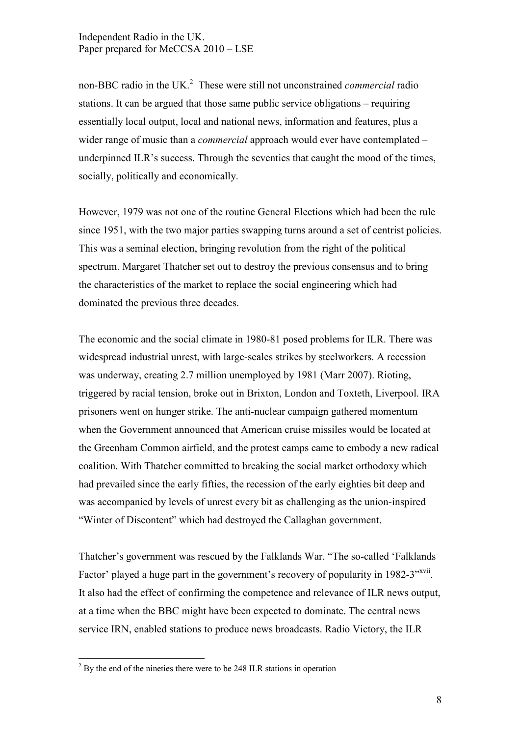non-BBC radio in the UK.<sup>2</sup> These were still not unconstrained *commercial* radio stations. It can be argued that those same public service obligations – requiring essentially local output, local and national news, information and features, plus a wider range of music than a *commercial* approach would ever have contemplated – underpinned ILR's success. Through the seventies that caught the mood of the times, socially, politically and economically.

However, 1979 was not one of the routine General Elections which had been the rule since 1951, with the two major parties swapping turns around a set of centrist policies. This was a seminal election, bringing revolution from the right of the political spectrum. Margaret Thatcher set out to destroy the previous consensus and to bring the characteristics of the market to replace the social engineering which had dominated the previous three decades.

The economic and the social climate in 1980-81 posed problems for ILR. There was widespread industrial unrest, with large-scales strikes by steelworkers. A recession was underway, creating 2.7 million unemployed by 1981 (Marr 2007). Rioting, triggered by racial tension, broke out in Brixton, London and Toxteth, Liverpool. IRA prisoners went on hunger strike. The anti-nuclear campaign gathered momentum when the Government announced that American cruise missiles would be located at the Greenham Common airfield, and the protest camps came to embody a new radical coalition. With Thatcher committed to breaking the social market orthodoxy which had prevailed since the early fifties, the recession of the early eighties bit deep and was accompanied by levels of unrest every bit as challenging as the union-inspired "Winter of Discontent" which had destroyed the Callaghan government.

Thatcher's government was rescued by the Falklands War. "The so-called 'Falklands Factor' played a huge part in the government's recovery of popularity in 1982-3"<sup>[xvii](#page-18-0)</sup>. It also had the effect of confirming the competence and relevance of ILR news output, at a time when the BBC might have been expected to dominate. The central news service IRN, enabled stations to produce news broadcasts. Radio Victory, the ILR

<sup>&</sup>lt;sup>2</sup> By the end of the nineties there were to be 248 ILR stations in operation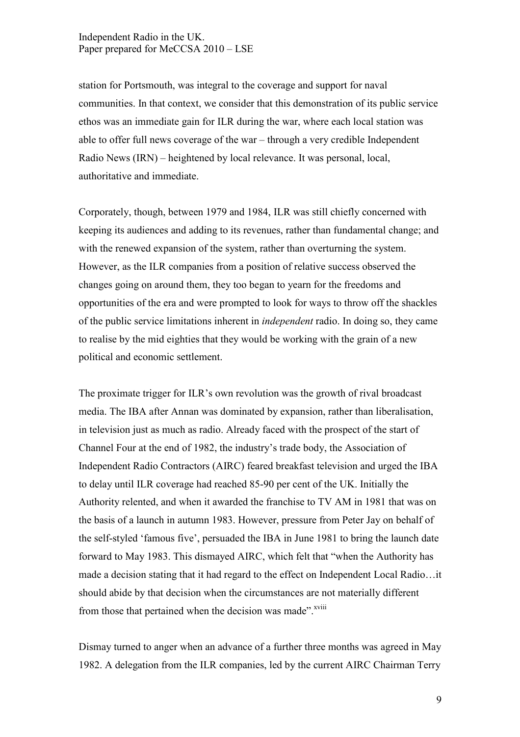station for Portsmouth, was integral to the coverage and support for naval communities. In that context, we consider that this demonstration of its public service ethos was an immediate gain for ILR during the war, where each local station was able to offer full news coverage of the war – through a very credible Independent Radio News (IRN) – heightened by local relevance. It was personal, local, authoritative and immediate.

Corporately, though, between 1979 and 1984, ILR was still chiefly concerned with keeping its audiences and adding to its revenues, rather than fundamental change; and with the renewed expansion of the system, rather than overturning the system. However, as the ILR companies from a position of relative success observed the changes going on around them, they too began to yearn for the freedoms and opportunities of the era and were prompted to look for ways to throw off the shackles of the public service limitations inherent in *independent* radio. In doing so, they came to realise by the mid eighties that they would be working with the grain of a new political and economic settlement.

The proximate trigger for ILR's own revolution was the growth of rival broadcast media. The IBA after Annan was dominated by expansion, rather than liberalisation, in television just as much as radio. Already faced with the prospect of the start of Channel Four at the end of 1982, the industry's trade body, the Association of Independent Radio Contractors (AIRC) feared breakfast television and urged the IBA to delay until ILR coverage had reached 85-90 per cent of the UK. Initially the Authority relented, and when it awarded the franchise to TV AM in 1981 that was on the basis of a launch in autumn 1983. However, pressure from Peter Jay on behalf of the self-styled 'famous five', persuaded the IBA in June 1981 to bring the launch date forward to May 1983. This dismayed AIRC, which felt that "when the Authority has made a decision stating that it had regard to the effect on Independent Local Radio…it should abide by that decision when the circumstances are not materially different from those that pertained when the decision was made".<sup>[xviii](#page-18-0)</sup>

Dismay turned to anger when an advance of a further three months was agreed in May 1982. A delegation from the ILR companies, led by the current AIRC Chairman Terry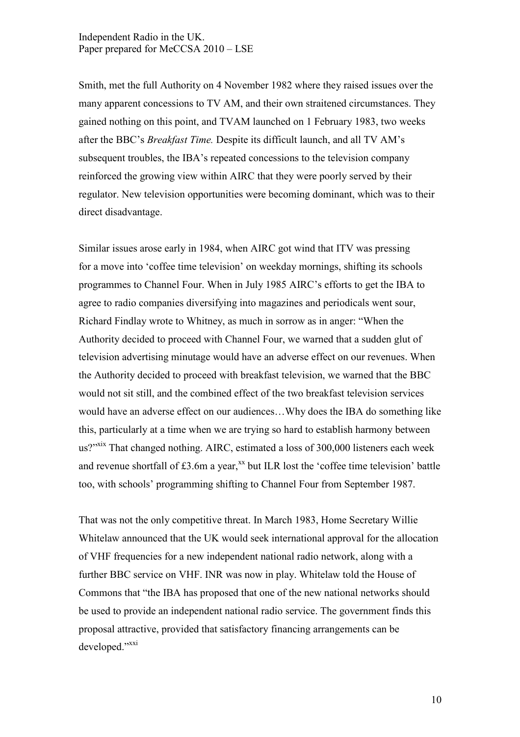Smith, met the full Authority on 4 November 1982 where they raised issues over the many apparent concessions to TV AM, and their own straitened circumstances. They gained nothing on this point, and TVAM launched on 1 February 1983, two weeks after the BBC's *Breakfast Time.* Despite its difficult launch, and all TV AM's subsequent troubles, the IBA's repeated concessions to the television company reinforced the growing view within AIRC that they were poorly served by their regulator. New television opportunities were becoming dominant, which was to their direct disadvantage.

Similar issues arose early in 1984, when AIRC got wind that ITV was pressing for a move into 'coffee time television' on weekday mornings, shifting its schools programmes to Channel Four. When in July 1985 AIRC's efforts to get the IBA to agree to radio companies diversifying into magazines and periodicals went sour, Richard Findlay wrote to Whitney, as much in sorrow as in anger: "When the Authority decided to proceed with Channel Four, we warned that a sudden glut of television advertising minutage would have an adverse effect on our revenues. When the Authority decided to proceed with breakfast television, we warned that the BBC would not sit still, and the combined effect of the two breakfast television services would have an adverse effect on our audiences…Why does the IBA do something like this, particularly at a time when we are trying so hard to establish harmony between us?"<sup>[xix](#page-18-0)</sup> That changed nothing. AIRC, estimated a loss of 300,000 listeners each week and revenue shortfall of  $£3.6m$  a year, $^{xx}$  $^{xx}$  $^{xx}$  but ILR lost the 'coffee time television' battle too, with schools' programming shifting to Channel Four from September 1987.

That was not the only competitive threat. In March 1983, Home Secretary Willie Whitelaw announced that the UK would seek international approval for the allocation of VHF frequencies for a new independent national radio network, along with a further BBC service on VHF. INR was now in play. Whitelaw told the House of Commons that "the IBA has proposed that one of the new national networks should be used to provide an independent national radio service. The government finds this proposal attractive, provided that satisfactory financing arrangements can be developed."[xxi](#page-18-0)

10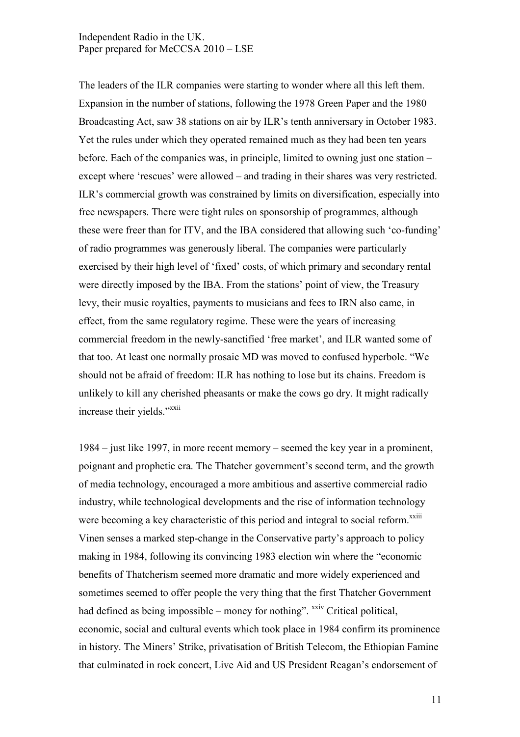The leaders of the ILR companies were starting to wonder where all this left them. Expansion in the number of stations, following the 1978 Green Paper and the 1980 Broadcasting Act, saw 38 stations on air by ILR's tenth anniversary in October 1983. Yet the rules under which they operated remained much as they had been ten years before. Each of the companies was, in principle, limited to owning just one station – except where 'rescues' were allowed – and trading in their shares was very restricted. ILR's commercial growth was constrained by limits on diversification, especially into free newspapers. There were tight rules on sponsorship of programmes, although these were freer than for ITV, and the IBA considered that allowing such 'co-funding' of radio programmes was generously liberal. The companies were particularly exercised by their high level of 'fixed' costs, of which primary and secondary rental were directly imposed by the IBA. From the stations' point of view, the Treasury levy, their music royalties, payments to musicians and fees to IRN also came, in effect, from the same regulatory regime. These were the years of increasing commercial freedom in the newly-sanctified 'free market', and ILR wanted some of that too. At least one normally prosaic MD was moved to confused hyperbole. "We should not be afraid of freedom: ILR has nothing to lose but its chains. Freedom is unlikely to kill any cherished pheasants or make the cows go dry. It might radically increase their yields."<sup>[xxi](#page-18-0)i</sup>

1984 – just like 1997, in more recent memory – seemed the key year in a prominent, poignant and prophetic era. The Thatcher government's second term, and the growth of media technology, encouraged a more ambitious and assertive commercial radio industry, while technological developments and the rise of information technology were becoming a key characteristic of this period and integral to social reform.<sup>[xxiii](#page-18-0)</sup> Vinen senses a marked step-change in the Conservative party's approach to policy making in 1984, following its convincing 1983 election win where the "economic benefits of Thatcherism seemed more dramatic and more widely experienced and sometimes seemed to offer people the very thing that the first Thatcher Government had defined as being impossible – money for nothing".  $^{xxiv}$  $^{xxiv}$  $^{xxiv}$  Critical political, economic, social and cultural events which took place in 1984 confirm its prominence in history. The Miners' Strike, privatisation of British Telecom, the Ethiopian Famine that culminated in rock concert, Live Aid and US President Reagan's endorsement of

11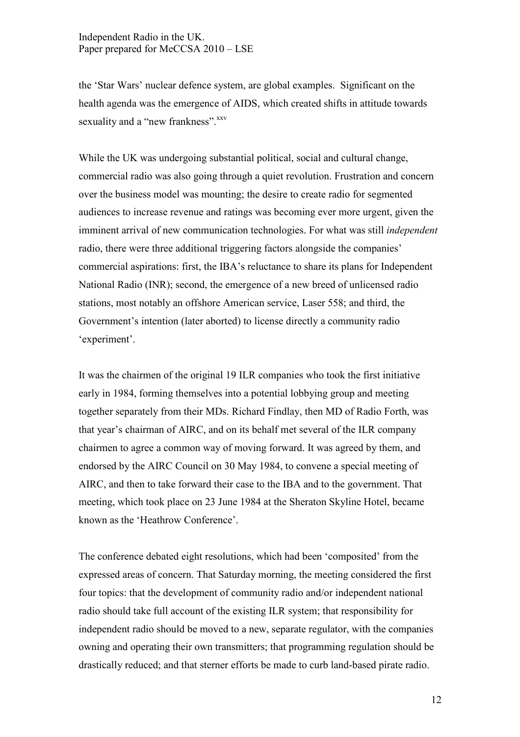the 'Star Wars' nuclear defence system, are global examples. Significant on the health agenda was the emergence of AIDS, which created shifts in attitude towards sexuality and a "new frankness".<sup>[xxv](#page-18-0)</sup>

While the UK was undergoing substantial political, social and cultural change, commercial radio was also going through a quiet revolution. Frustration and concern over the business model was mounting; the desire to create radio for segmented audiences to increase revenue and ratings was becoming ever more urgent, given the imminent arrival of new communication technologies. For what was still *independent*  radio, there were three additional triggering factors alongside the companies' commercial aspirations: first, the IBA's reluctance to share its plans for Independent National Radio (INR); second, the emergence of a new breed of unlicensed radio stations, most notably an offshore American service, Laser 558; and third, the Government's intention (later aborted) to license directly a community radio 'experiment'.

It was the chairmen of the original 19 ILR companies who took the first initiative early in 1984, forming themselves into a potential lobbying group and meeting together separately from their MDs. Richard Findlay, then MD of Radio Forth, was that year's chairman of AIRC, and on its behalf met several of the ILR company chairmen to agree a common way of moving forward. It was agreed by them, and endorsed by the AIRC Council on 30 May 1984, to convene a special meeting of AIRC, and then to take forward their case to the IBA and to the government. That meeting, which took place on 23 June 1984 at the Sheraton Skyline Hotel, became known as the 'Heathrow Conference'.

The conference debated eight resolutions, which had been 'composited' from the expressed areas of concern. That Saturday morning, the meeting considered the first four topics: that the development of community radio and/or independent national radio should take full account of the existing ILR system; that responsibility for independent radio should be moved to a new, separate regulator, with the companies owning and operating their own transmitters; that programming regulation should be drastically reduced; and that sterner efforts be made to curb land-based pirate radio.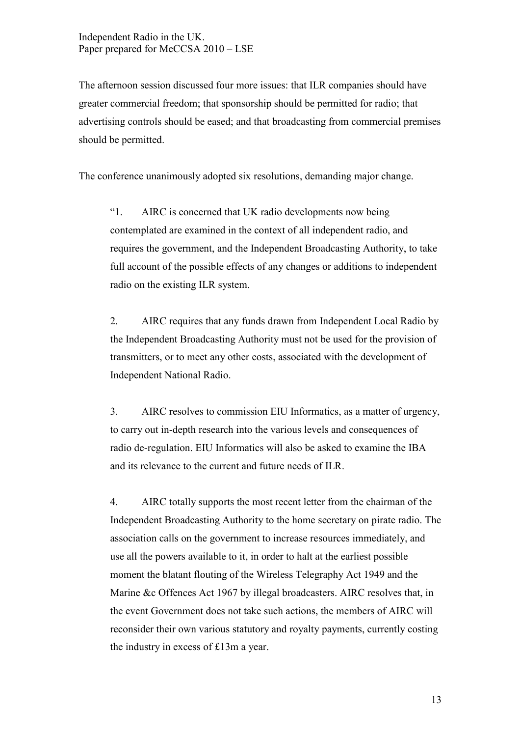The afternoon session discussed four more issues: that ILR companies should have greater commercial freedom; that sponsorship should be permitted for radio; that advertising controls should be eased; and that broadcasting from commercial premises should be permitted.

The conference unanimously adopted six resolutions, demanding major change.

"1. AIRC is concerned that UK radio developments now being contemplated are examined in the context of all independent radio, and requires the government, and the Independent Broadcasting Authority, to take full account of the possible effects of any changes or additions to independent radio on the existing ILR system.

2. AIRC requires that any funds drawn from Independent Local Radio by the Independent Broadcasting Authority must not be used for the provision of transmitters, or to meet any other costs, associated with the development of Independent National Radio.

3. AIRC resolves to commission EIU Informatics, as a matter of urgency, to carry out in-depth research into the various levels and consequences of radio de-regulation. EIU Informatics will also be asked to examine the IBA and its relevance to the current and future needs of ILR.

4. AIRC totally supports the most recent letter from the chairman of the Independent Broadcasting Authority to the home secretary on pirate radio. The association calls on the government to increase resources immediately, and use all the powers available to it, in order to halt at the earliest possible moment the blatant flouting of the Wireless Telegraphy Act 1949 and the Marine &c Offences Act 1967 by illegal broadcasters. AIRC resolves that, in the event Government does not take such actions, the members of AIRC will reconsider their own various statutory and royalty payments, currently costing the industry in excess of £13m a year.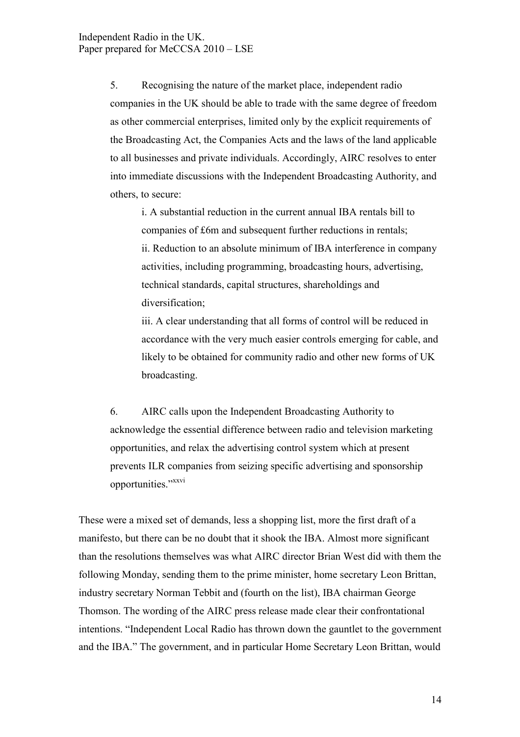5. Recognising the nature of the market place, independent radio companies in the UK should be able to trade with the same degree of freedom as other commercial enterprises, limited only by the explicit requirements of the Broadcasting Act, the Companies Acts and the laws of the land applicable to all businesses and private individuals. Accordingly, AIRC resolves to enter into immediate discussions with the Independent Broadcasting Authority, and others, to secure:

i. A substantial reduction in the current annual IBA rentals bill to companies of £6m and subsequent further reductions in rentals; ii. Reduction to an absolute minimum of IBA interference in company activities, including programming, broadcasting hours, advertising, technical standards, capital structures, shareholdings and diversification;

iii. A clear understanding that all forms of control will be reduced in accordance with the very much easier controls emerging for cable, and likely to be obtained for community radio and other new forms of UK broadcasting.

6. AIRC calls upon the Independent Broadcasting Authority to acknowledge the essential difference between radio and television marketing opportunities, and relax the advertising control system which at present prevents ILR companies from seizing specific advertising and sponsorship opportunities."[xxvi](#page-18-0)

These were a mixed set of demands, less a shopping list, more the first draft of a manifesto, but there can be no doubt that it shook the IBA. Almost more significant than the resolutions themselves was what AIRC director Brian West did with them the following Monday, sending them to the prime minister, home secretary Leon Brittan, industry secretary Norman Tebbit and (fourth on the list), IBA chairman George Thomson. The wording of the AIRC press release made clear their confrontational intentions. "Independent Local Radio has thrown down the gauntlet to the government and the IBA." The government, and in particular Home Secretary Leon Brittan, would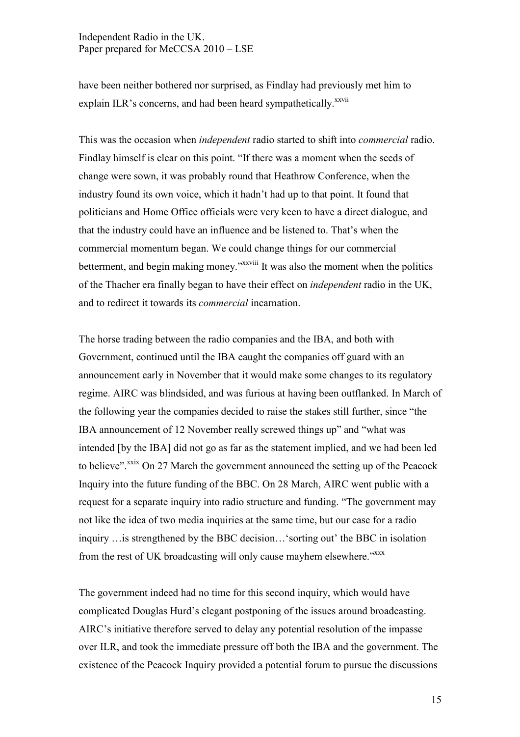have been neither bothered nor surprised, as Findlay had previously met him to explain ILR's concerns, and had been heard sympathetically.<sup>[xxvii](#page-18-0)</sup>

This was the occasion when *independent* radio started to shift into *commercial* radio. Findlay himself is clear on this point. "If there was a moment when the seeds of change were sown, it was probably round that Heathrow Conference, when the industry found its own voice, which it hadn't had up to that point. It found that politicians and Home Office officials were very keen to have a direct dialogue, and that the industry could have an influence and be listened to. That's when the commercial momentum began. We could change things for our commercial betterment, and begin making money."<sup>[xxviii](#page-18-0)</sup> It was also the moment when the politics of the Thacher era finally began to have their effect on *independent* radio in the UK, and to redirect it towards its *commercial* incarnation.

The horse trading between the radio companies and the IBA, and both with Government, continued until the IBA caught the companies off guard with an announcement early in November that it would make some changes to its regulatory regime. AIRC was blindsided, and was furious at having been outflanked. In March of the following year the companies decided to raise the stakes still further, since "the IBA announcement of 12 November really screwed things up" and "what was intended [by the IBA] did not go as far as the statement implied, and we had been led to believe".<sup>[xxix](#page-18-0)</sup> On 27 March the government announced the setting up of the Peacock Inquiry into the future funding of the BBC. On 28 March, AIRC went public with a request for a separate inquiry into radio structure and funding. "The government may not like the idea of two media inquiries at the same time, but our case for a radio inquiry …is strengthened by the BBC decision…'sorting out' the BBC in isolation from the rest of UK broadcasting will only cause mayhem elsewhere." [xxx](#page-18-0)x

The government indeed had no time for this second inquiry, which would have complicated Douglas Hurd's elegant postponing of the issues around broadcasting. AIRC's initiative therefore served to delay any potential resolution of the impasse over ILR, and took the immediate pressure off both the IBA and the government. The existence of the Peacock Inquiry provided a potential forum to pursue the discussions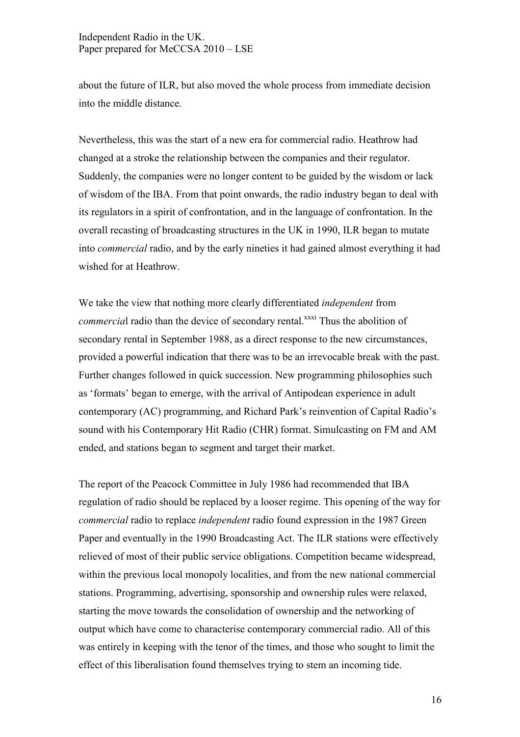about the future of ILR, but also moved the whole process from immediate decision into the middle distance.

Nevertheless, this was the start of a new era for commercial radio. Heathrow had changed at a stroke the relationship between the companies and their regulator. Suddenly, the companies were no longer content to be guided by the wisdom or lack of wisdom of the IBA. From that point onwards, the radio industry began to deal with its regulators in a spirit of confrontation, and in the language of confrontation. In the overall recasting of broadcasting structures in the UK in 1990, ILR began to mutate into *commercial* radio, and by the early nineties it had gained almost everything it had wished for at Heathrow.

We take the view that nothing more clearly differentiated *independent* from *commercial* radio than the device of secondary rental.<sup>[xxxi](#page-18-0)</sup> Thus the abolition of secondary rental in September 1988, as a direct response to the new circumstances, provided a powerful indication that there was to be an irrevocable break with the past. Further changes followed in quick succession. New programming philosophies such as 'formats' began to emerge, with the arrival of Antipodean experience in adult contemporary (AC) programming, and Richard Park's reinvention of Capital Radio's sound with his Contemporary Hit Radio (CHR) format. Simulcasting on FM and AM ended, and stations began to segment and target their market.

The report of the Peacock Committee in July 1986 had recommended that IBA regulation of radio should be replaced by a looser regime. This opening of the way for *commercial* radio to replace *independent* radio found expression in the 1987 Green Paper and eventually in the 1990 Broadcasting Act. The ILR stations were effectively relieved of most of their public service obligations. Competition became widespread, within the previous local monopoly localities, and from the new national commercial stations. Programming, advertising, sponsorship and ownership rules were relaxed, starting the move towards the consolidation of ownership and the networking of output which have come to characterise contemporary commercial radio. All of this was entirely in keeping with the tenor of the times, and those who sought to limit the effect of this liberalisation found themselves trying to stem an incoming tide.

16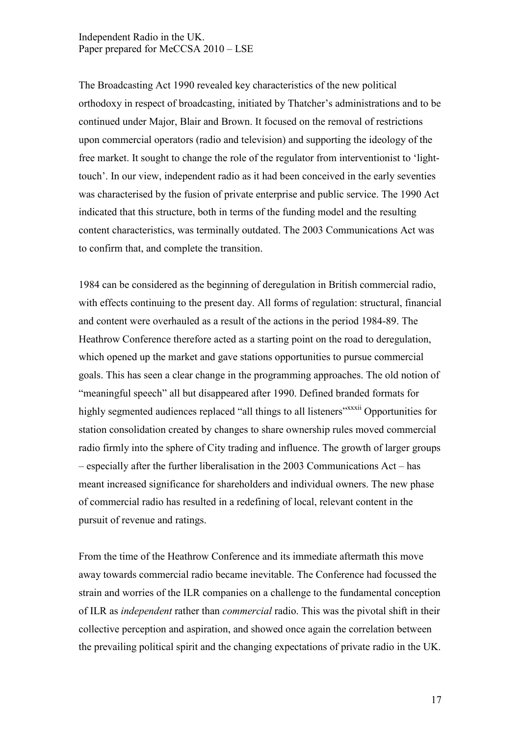The Broadcasting Act 1990 revealed key characteristics of the new political orthodoxy in respect of broadcasting, initiated by Thatcher's administrations and to be continued under Major, Blair and Brown. It focused on the removal of restrictions upon commercial operators (radio and television) and supporting the ideology of the free market. It sought to change the role of the regulator from interventionist to 'lighttouch'. In our view, independent radio as it had been conceived in the early seventies was characterised by the fusion of private enterprise and public service. The 1990 Act indicated that this structure, both in terms of the funding model and the resulting content characteristics, was terminally outdated. The 2003 Communications Act was to confirm that, and complete the transition.

1984 can be considered as the beginning of deregulation in British commercial radio, with effects continuing to the present day. All forms of regulation: structural, financial and content were overhauled as a result of the actions in the period 1984-89. The Heathrow Conference therefore acted as a starting point on the road to deregulation, which opened up the market and gave stations opportunities to pursue commercial goals. This has seen a clear change in the programming approaches. The old notion of "meaningful speech" all but disappeared after 1990. Defined branded formats for highly segmented audiences replaced "all things to all listeners"<sup>x[xxxii](#page-18-0)</sup> Opportunities for station consolidation created by changes to share ownership rules moved commercial radio firmly into the sphere of City trading and influence. The growth of larger groups – especially after the further liberalisation in the 2003 Communications Act – has meant increased significance for shareholders and individual owners. The new phase of commercial radio has resulted in a redefining of local, relevant content in the pursuit of revenue and ratings.

From the time of the Heathrow Conference and its immediate aftermath this move away towards commercial radio became inevitable. The Conference had focussed the strain and worries of the ILR companies on a challenge to the fundamental conception of ILR as *independent* rather than *commercial* radio. This was the pivotal shift in their collective perception and aspiration, and showed once again the correlation between the prevailing political spirit and the changing expectations of private radio in the UK.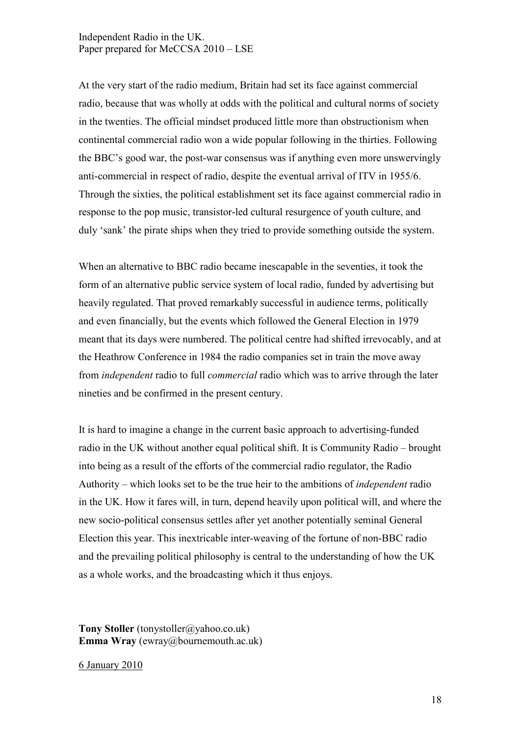At the very start of the radio medium, Britain had set its face against commercial radio, because that was wholly at odds with the political and cultural norms of society in the twenties. The official mindset produced little more than obstructionism when continental commercial radio won a wide popular following in the thirties. Following the BBC's good war, the post-war consensus was if anything even more unswervingly anti-commercial in respect of radio, despite the eventual arrival of ITV in 1955/6. Through the sixties, the political establishment set its face against commercial radio in response to the pop music, transistor-led cultural resurgence of youth culture, and duly 'sank' the pirate ships when they tried to provide something outside the system.

When an alternative to BBC radio became inescapable in the seventies, it took the form of an alternative public service system of local radio, funded by advertising but heavily regulated. That proved remarkably successful in audience terms, politically and even financially, but the events which followed the General Election in 1979 meant that its days were numbered. The political centre had shifted irrevocably, and at the Heathrow Conference in 1984 the radio companies set in train the move away from *independent* radio to full *commercial* radio which was to arrive through the later nineties and be confirmed in the present century.

It is hard to imagine a change in the current basic approach to advertising-funded radio in the UK without another equal political shift. It is Community Radio – brought into being as a result of the efforts of the commercial radio regulator, the Radio Authority – which looks set to be the true heir to the ambitions of *independent* radio in the UK. How it fares will, in turn, depend heavily upon political will, and where the new socio-political consensus settles after yet another potentially seminal General Election this year. This inextricable inter-weaving of the fortune of non-BBC radio and the prevailing political philosophy is central to the understanding of how the UK as a whole works, and the broadcasting which it thus enjoys.

**Tony Stoller** [\(tonystoller@yahoo.co.uk](mailto:tonystoller@yahoo.co.uk)) **Emma Wray** [\(ewray@bournemouth.ac.uk](mailto:ewray@bournemouth.ac.uk))

6 January 2010